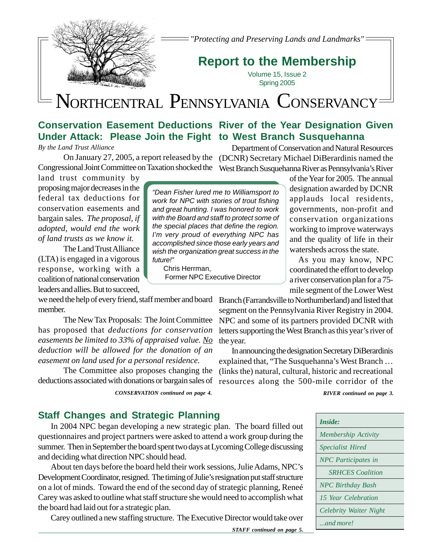*"Protecting and Preserving Lands and Landmarks"*

# **Report to the Membership**

Volume 15, Issue 2 Spring 2005

# NORTHCENTRAL PENNSYLVANIA CONSERVANCY

"Dean Fisher lured me to Williamsport to work for NPC with stories of trout fishing and great hunting. I was honored to work with the Board and staff to protect some of the special places that define the region. I'm very proud of everything NPC has accomplished since those early years and wish the organization great success in the

Former NPC Executive Director

# **Conservation Easement Deductions River of the Year Designation Given Under Attack: Please Join the Fight to West Branch Susquehanna**

*By the Land Trust Alliance*

Congressional Joint Committee on Taxation shocked the West Branch Susquehanna River as Pennsylvania's River

land trust community by proposing major decreases in the federal tax deductions for conservation easements and bargain sales. *The proposal, if adopted, would end the work of land trusts as we know it.*

The Land Trust Alliance (LTA) is engaged in a vigorous response, working with a coalition of national conservation leaders and allies. But to succeed,

we need the help of every friend, staff member and board Branch (Farrandsville to Northumberland) and listed that member.

The New Tax Proposals: The Joint Committee has proposed that *deductions for conservation easements be limited to 33% of appraised value. No deduction will be allowed for the donation of an easement on land used for a personal residence.*

The Committee also proposes changing the deductions associated with donations or bargain sales of

*CONSERVATION continued on page 4. RIVER continued on page 3.*

future!"

Chris Herrman,

# **Staff Changes and Strategic Planning**

In 2004 NPC began developing a new strategic plan. The board filled out questionnaires and project partners were asked to attend a work group during the summer. Then in September the board spent two days at Lycoming College discussing and deciding what direction NPC should head.

About ten days before the board held their work sessions, Julie Adams, NPC's Development Coordinator, resigned. The timing of Julie's resignation put staff structure on a lot of minds. Toward the end of the second day of strategic planning, Reneé Carey was asked to outline what staff structure she would need to accomplish what the board had laid out for a strategic plan.

Carey outlined a new staffing structure. The Executive Director would take over

On January 27, 2005, a report released by the (DCNR) Secretary Michael DiBerardinis named the Department of Conservation and Natural Resources

> of the Year for 2005. The annual designation awarded by DCNR applauds local residents, governments, non-profit and conservation organizations working to improve waterways and the quality of life in their watersheds across the state.

> As you may know, NPC coordinated the effort to develop a river conservation plan for a 75 mile segment of the Lower West

segment on the Pennsylvania River Registry in 2004. NPC and some of its partners provided DCNR with letters supporting the West Branch as this year's river of the year.

In announcing the designation Secretary DiBerardinis explained that, "The Susquehanna's West Branch … (links the) natural, cultural, historic and recreational resources along the 500-mile corridor of the

| Inside:                    |
|----------------------------|
| <b>Membership Activity</b> |
| <i>Specialist Hired</i>    |
| <b>NPC</b> Participates in |
| <b>SRHCES</b> Coalition    |
| <b>NPC</b> Birthday Bash   |
| 15 Year Celebration        |
| Celebrity Waiter Night     |
| and more!                  |

*STAFF continued on page 5.*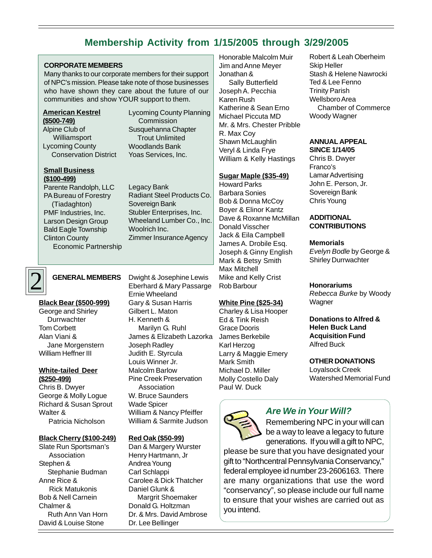# **Membership Activity from 1/15/2005 through 3/29/2005**

#### **CORPORATE MEMBERS**

Many thanks to our corporate members for their support of NPC's mission. Please take note of those businesses who have shown they care about the future of our communities and show YOUR support to them.

## **American Kestrel (\$500-749)**

Alpine Club of Williamsport Lycoming County Conservation District

#### **Small Business (\$100-499)**

Parente Randolph, LLC PA Bureau of Forestry (Tiadaghton) PMF Industries, Inc. Larson Design Group Bald Eagle Township Clinton County Economic Partnership Lycoming County Planning **Commission** Susquehanna Chapter Trout Unlimited Woodlands Bank Yoas Services, Inc.

Legacy Bank Radiant Steel Products Co. Sovereign Bank Stubler Enterprises, Inc. Wheeland Lumber Co., Inc. Woolrich Inc. Zimmer Insurance Agency

# 2

**Black Bear (\$500-999)** George and Shirley **Durrwachter** Tom Corbett Alan Viani & Jane Morgenstern William Heffner III

#### **White-tailed Deer (\$250-499)**

Chris B. Dwyer George & Molly Logue Richard & Susan Sprout Walter & Patricia Nicholson

#### **Black Cherry (\$100-249)**

Slate Run Sportsman's Association Stephen & Stephanie Budman Anne Rice & Rick Matukonis Bob & Nell Carnein Chalmer & Ruth Ann Van Horn David & Louise Stone

**GENERAL MEMBERS** Dwight & Josephine Lewis Eberhard & Mary Passarge Ernie Wheeland Gary & Susan Harris Gilbert L. Maton H. Kenneth & Marilyn G. Ruhl James & Elizabeth Lazorka Joseph Radley Judith E. Styrcula Louis Winner Jr. Malcolm Barlow Pine Creek Preservation Association W. Bruce Saunders Wade Spicer William & Nancy Pfeiffer William & Sarmite Judson

#### **Red Oak (\$50-99)**

Dan & Margery Wurster Henry Hartmann, Jr Andrea Young Carl Schlappi Carolee & Dick Thatcher Daniel Glunk & Margrit Shoemaker Donald G. Holtzman Dr. & Mrs. David Ambrose Dr. Lee Bellinger

Honorable Malcolm Muir Jim and Anne Meyer Jonathan &

 Sally Butterfield Joseph A. Pecchia Karen Rush Katherine & Sean Erno Michael Piccuta MD Mr. & Mrs. Chester Pribble R. Max Coy Shawn McLaughlin Veryl & Linda Frye William & Kelly Hastings

#### **Sugar Maple (\$35-49)**

Howard Parks Barbara Sonies Bob & Donna McCoy Boyer & Elinor Kantz Dave & Roxanne McMillan Donald Visscher Jack & Eila Campbell James A. Drobile Esq. Joseph & Ginny English Mark & Betsy Smith Max Mitchell Mike and Kelly Crist Rob Barbour

#### **White Pine (\$25-34)**

Charley & Lisa Hooper Ed & Tink Reish Grace Dooris James Berkebile Karl Herzog Larry & Maggie Emery Mark Smith Michael D. Miller Molly Costello Daly Paul W. Duck



# **Are We in Your Will?**

Remembering NPC in your will can be a way to leave a legacy to future generations. If you will a gift to NPC,

please be sure that you have designated your gift to "Northcentral Pennsylvania Conservancy," federal employee id number 23-2606163. There are many organizations that use the word "conservancy", so please include our full name to ensure that your wishes are carried out as you intend.

Robert & Leah Oberheim Skip Heller Stash & Helene Nawrocki Ted & Lee Fenno Trinity Parish Wellsboro Area Chamber of Commerce Woody Wagner

### **ANNUAL APPEAL**

**SINCE 1/14/05** Chris B. Dwyer Franco's Lamar Advertising John E. Person, Jr. Sovereign Bank Chris Young

#### **ADDITIONAL CONTRIBUTIONS**

#### **Memorials**

Evelyn Bodle by George & Shirley Durrwachter

#### **Honorariums**

Rebecca Burke by Woody **Wagner** 

**Donations to Alfred & Helen Buck Land Acquisition Fund** Alfred Buck

### **OTHER DONATIONS**

Loyalsock Creek Watershed Memorial Fund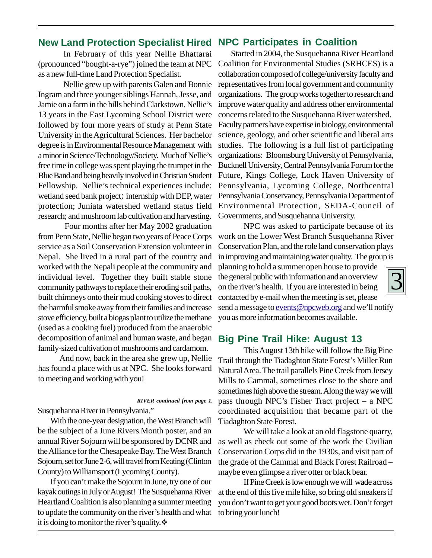# **New Land Protection Specialist Hired NPC Participates in Coalition**

In February of this year Nellie Bhattarai (pronounced "bought-a-rye") joined the team at NPC as a new full-time Land Protection Specialist.

Nellie grew up with parents Galen and Bonnie Ingram and three younger siblings Hannah, Jesse, and Jamie on a farm in the hills behind Clarkstown. Nellie's 13 years in the East Lycoming School District were followed by four more years of study at Penn State University in the Agricultural Sciences. Her bachelor degree is in Environmental Resource Management with a minor in Science/Technology/Society. Much of Nellie's free time in college was spent playing the trumpet in the Blue Band and being heavily involved in Christian Student Fellowship. Nellie's technical experiences include: wetland seed bank project; internship with DEP, water protection; Juniata watershed wetland status field research; and mushroom lab cultivation and harvesting.

 Four months after her May 2002 graduation from Penn State, Nellie began two years of Peace Corps service as a Soil Conservation Extension volunteer in Nepal. She lived in a rural part of the country and worked with the Nepali people at the community and individual level. Together they built stable stone community pathways to replace their eroding soil paths, built chimneys onto their mud cooking stoves to direct the harmful smoke away from their families and increase stove efficiency, built a biogas plant to utilize the methane (used as a cooking fuel) produced from the anaerobic decomposition of animal and human waste, and began family-sized cultivation of mushrooms and cardamom.

 And now, back in the area she grew up, Nellie has found a place with us at NPC. She looks forward to meeting and working with you!

*RIVER continued from page 1.*

Susquehanna River in Pennsylvania."

With the one-year designation, the West Branch will be the subject of a June Rivers Month poster, and an annual River Sojourn will be sponsored by DCNR and the Alliance for the Chesapeake Bay. The West Branch Sojourn, set for June 2-6, will travel from Keating (Clinton County) to Williamsport (Lycoming County).

If you can't make the Sojourn in June, try one of our kayak outings in July or August! The Susquehanna River Heartland Coalition is also planning a summer meeting to update the community on the river's health and what it is doing to monitor the river's quality.  $\mathbf{\hat{v}}$ 

Started in 2004, the Susquehanna River Heartland Coalition for Environmental Studies (SRHCES) is a collaboration composed of college/university faculty and representatives from local government and community organizations. The group works together to research and improve water quality and address other environmental concerns related to the Susquehanna River watershed. Faculty partners have expertise in biology, environmental science, geology, and other scientific and liberal arts studies. The following is a full list of participating organizations: Bloomsburg University of Pennsylvania, Bucknell University, Central Pennsylvania Forum for the Future, Kings College, Lock Haven University of Pennsylvania, Lycoming College, Northcentral Pennsylvania Conservancy, Pennsylvania Department of Environmental Protection, SEDA-Council of Governments, and Susquehanna University.

NPC was asked to participate because of its work on the Lower West Branch Susquehanna River Conservation Plan, and the role land conservation plays in improving and maintaining water quality. The group is

planning to hold a summer open house to provide the general public with information and an overview on the river's health. If you are interested in being contacted by e-mail when the meeting is set, please send a message to events@npcweb.org and we'll notify you as more information becomes available.

# **Big Pine Trail Hike: August 13**

This August 13th hike will follow the Big Pine Trail through the Tiadaghton State Forest's Miller Run Natural Area. The trail parallels Pine Creek from Jersey Mills to Cammal, sometimes close to the shore and sometimes high above the stream. Along the way we will pass through NPC's Fisher Tract project – a NPC coordinated acquisition that became part of the Tiadaghton State Forest.

We will take a look at an old flagstone quarry, as well as check out some of the work the Civilian Conservation Corps did in the 1930s, and visit part of the grade of the Cammal and Black Forest Railroad – maybe even glimpse a river otter or black bear.

If Pine Creek is low enough we will wade across at the end of this five mile hike, so bring old sneakers if you don't want to get your good boots wet. Don't forget to bring your lunch!

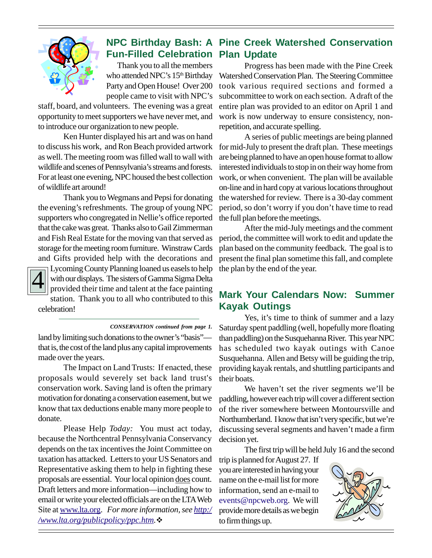

# **NPC Birthday Bash: A Pine Creek Watershed Conservation Fun-Filled Celebration Plan Update**

 Thank you to all the members who attended NPC's 15<sup>th</sup> Birthday Party and Open House! Over 200 people came to visit with NPC's

staff, board, and volunteers. The evening was a great opportunity to meet supporters we have never met, and to introduce our organization to new people.

Ken Hunter displayed his art and was on hand to discuss his work, and Ron Beach provided artwork as well. The meeting room was filled wall to wall with wildlife and scenes of Pennsylvania's streams and forests. For at least one evening, NPC housed the best collection of wildlife art around!

Thank you to Wegmans and Pepsi for donating the evening's refreshments. The group of young NPC supporters who congregated in Nellie's office reported that the cake was great. Thanks also to Gail Zimmerman and Fish Real Estate for the moving van that served as storage for the meeting room furniture. Winstraw Cards and Gifts provided help with the decorations and



Lycoming County Planning loaned us easels to help with our displays. The sisters of Gamma Sigma Delta provided their time and talent at the face painting station. Thank you to all who contributed to this celebration!

*CONSERVATION continued from page 1.*

land by limiting such donations to the owner's "basis" that is, the cost of the land plus any capital improvements made over the years.

The Impact on Land Trusts: If enacted, these proposals would severely set back land trust's conservation work. Saving land is often the primary motivation for donating a conservation easement, but we know that tax deductions enable many more people to donate.

Please Help *Today:* You must act today, because the Northcentral Pennsylvania Conservancy depends on the tax incentives the Joint Committee on taxation has attacked. Letters to your US Senators and Representative asking them to help in fighting these proposals are essential. Your local opinion does count. Draft letters and more information—including how to email or write your elected officials are on the LTA Web Site at www.lta.org. *For more information, see http:/ /www.lta.org/publicpolicy/ppc.htm.*!

Progress has been made with the Pine Creek Watershed Conservation Plan. The Steering Committee took various required sections and formed a subcommittee to work on each section. A draft of the entire plan was provided to an editor on April 1 and work is now underway to ensure consistency, nonrepetition, and accurate spelling.

A series of public meetings are being planned for mid-July to present the draft plan. These meetings are being planned to have an open house format to allow interested individuals to stop in on their way home from work, or when convenient. The plan will be available on-line and in hard copy at various locations throughout the watershed for review. There is a 30-day comment period, so don't worry if you don't have time to read the full plan before the meetings.

After the mid-July meetings and the comment period, the committee will work to edit and update the plan based on the community feedback. The goal is to present the final plan sometime this fall, and complete the plan by the end of the year.

# **Mark Your Calendars Now: Summer Kayak Outings**

Yes, it's time to think of summer and a lazy Saturday spent paddling (well, hopefully more floating than paddling) on the Susquehanna River. This year NPC has scheduled two kayak outings with Canoe Susquehanna. Allen and Betsy will be guiding the trip, providing kayak rentals, and shuttling participants and their boats.

We haven't set the river segments we'll be paddling, however each trip will cover a different section of the river somewhere between Montoursville and Northumberland. I know that isn't very specific, but we're discussing several segments and haven't made a firm decision yet.

The first trip will be held July 16 and the second

trip is planned for August 27. If you are interested in having your name on the e-mail list for more information, send an e-mail to events@npcweb.org. We will provide more details as we begin to firm things up.

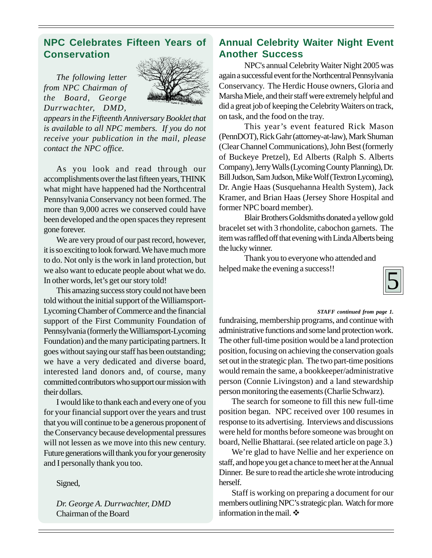# **NPC Celebrates Fifteen Years of Conservation**

*The following letter from NPC Chairman of the Board, George Durrwachter, DMD,*



*appears in the Fifteenth Anniversary Booklet that is available to all NPC members. If you do not receive your publication in the mail, please contact the NPC office.*

As you look and read through our accomplishments over the last fifteen years, THINK what might have happened had the Northcentral Pennsylvania Conservancy not been formed. The more than 9,000 acres we conserved could have been developed and the open spaces they represent gone forever.

We are very proud of our past record, however, it is so exciting to look forward. We have much more to do. Not only is the work in land protection, but we also want to educate people about what we do. In other words, let's get our story told!

This amazing success story could not have been told without the initial support of the Williamsport-Lycoming Chamber of Commerce and the financial support of the First Community Foundation of Pennsylvania (formerly the Williamsport-Lycoming Foundation) and the many participating partners. It goes without saying our staff has been outstanding; we have a very dedicated and diverse board, interested land donors and, of course, many committed contributors who support our mission with their dollars.

I would like to thank each and every one of you for your financial support over the years and trust that you will continue to be a generous proponent of the Conservancy because developmental pressures will not lessen as we move into this new century. Future generations will thank you for your generosity and I personally thank you too.

Signed,

*Dr. George A. Durrwachter, DMD* Chairman of the Board

# **Annual Celebrity Waiter Night Event Another Success**

NPC's annual Celebrity Waiter Night 2005 was again a successful event for the Northcentral Pennsylvania Conservancy. The Herdic House owners, Gloria and Marsha Miele, and their staff were extremely helpful and did a great job of keeping the Celebrity Waiters on track, on task, and the food on the tray.

This year's event featured Rick Mason (PennDOT), Rick Gahr (attorney-at-law), Mark Shuman (Clear Channel Communications), John Best (formerly of Buckeye Pretzel), Ed Alberts (Ralph S. Alberts Company), Jerry Walls (Lycoming County Planning), Dr. Bill Judson, Sam Judson, Mike Wolf (Textron Lycoming), Dr. Angie Haas (Susquehanna Health System), Jack Kramer, and Brian Haas (Jersey Shore Hospital and former NPC board member).

Blair Brothers Goldsmiths donated a yellow gold bracelet set with 3 rhondolite, cabochon garnets. The item was raffled off that evening with Linda Alberts being the lucky winner.

Thank you to everyone who attended and helped make the evening a success!!



#### *STAFF continued from page 1.*

fundraising, membership programs, and continue with administrative functions and some land protection work. The other full-time position would be a land protection position, focusing on achieving the conservation goals set out in the strategic plan. The two part-time positions would remain the same, a bookkeeper/administrative person (Connie Livingston) and a land stewardship person monitoring the easements (Charlie Schwarz).

The search for someone to fill this new full-time position began. NPC received over 100 resumes in response to its advertising. Interviews and discussions were held for months before someone was brought on board, Nellie Bhattarai. (see related article on page 3.)

We're glad to have Nellie and her experience on staff, and hope you get a chance to meet her at the Annual Dinner. Be sure to read the article she wrote introducing herself.

Staff is working on preparing a document for our members outlining NPC's strategic plan. Watch for more information in the mail.  $\cdot \cdot$